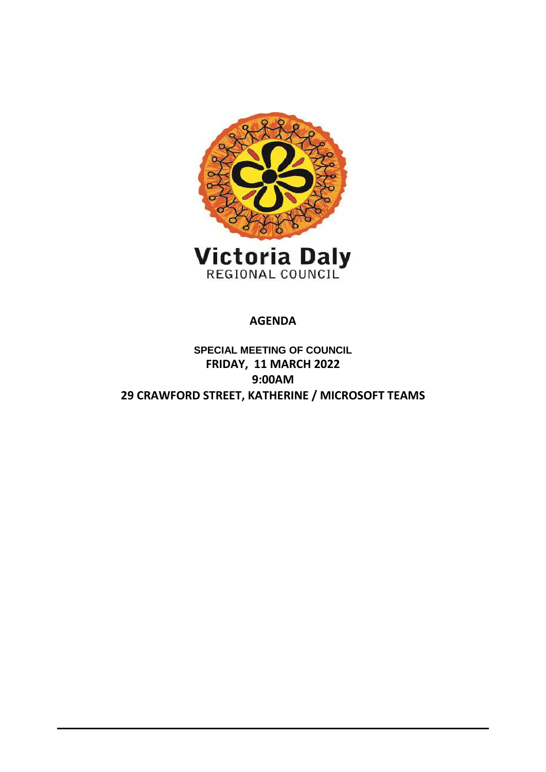

**AGENDA**

**SPECIAL MEETING OF COUNCIL FRIDAY, 11 MARCH 2022 9:00AM 29 CRAWFORD STREET, KATHERINE / MICROSOFT TEAMS**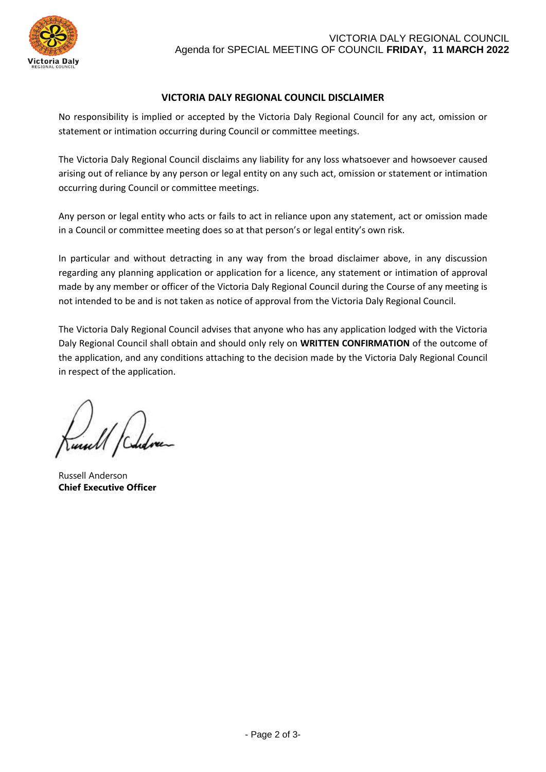

### **VICTORIA DALY REGIONAL COUNCIL DISCLAIMER**

No responsibility is implied or accepted by the Victoria Daly Regional Council for any act, omission or statement or intimation occurring during Council or committee meetings.

The Victoria Daly Regional Council disclaims any liability for any loss whatsoever and howsoever caused arising out of reliance by any person or legal entity on any such act, omission or statement or intimation occurring during Council or committee meetings.

Any person or legal entity who acts or fails to act in reliance upon any statement, act or omission made in a Council or committee meeting does so at that person's or legal entity's own risk.

In particular and without detracting in any way from the broad disclaimer above, in any discussion regarding any planning application or application for a licence, any statement or intimation of approval made by any member or officer of the Victoria Daly Regional Council during the Course of any meeting is not intended to be and is not taken as notice of approval from the Victoria Daly Regional Council.

The Victoria Daly Regional Council advises that anyone who has any application lodged with the Victoria Daly Regional Council shall obtain and should only rely on **WRITTEN CONFIRMATION** of the outcome of the application, and any conditions attaching to the decision made by the Victoria Daly Regional Council in respect of the application.

Russell Anderson **Chief Executive Officer**